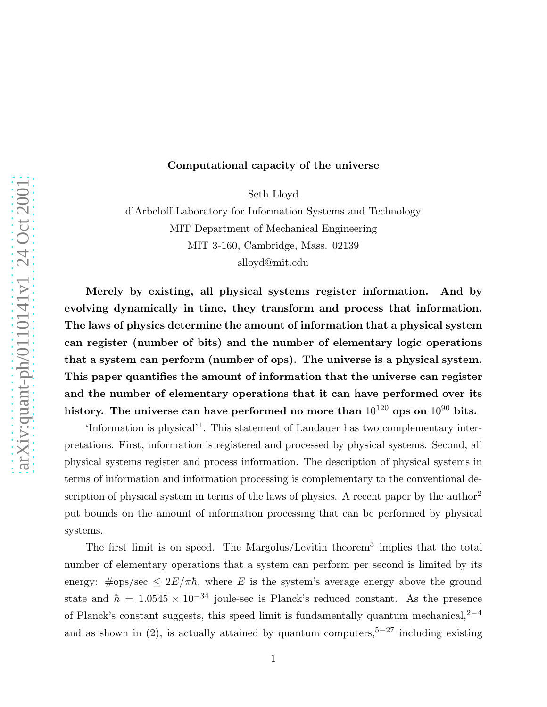# Computational capacity of the universe

Seth Lloyd

d'Arbeloff Laboratory for Information Systems and Technology MIT Department of Mechanical Engineering MIT 3-160, Cambridge, Mass. 02139 slloyd@mit.edu

Merely by existing, all physical systems register information. And by evolving dynamically in time, they transform and process that information. The laws of physics determine the amount of information that a physical system can register (number of bits) and the number of elementary logic operations that a system can perform (number of ops). The universe is a physical system. This paper quantifies the amount of information that the universe can register and the number of elementary operations that it can have performed over its history. The universe can have performed no more than  $10^{120}$  ops on  $10^{90}$  bits.

'Information is physical'<sup>1</sup>. This statement of Landauer has two complementary interpretations. First, information is registered and processed by physical systems. Second, all physical systems register and process information. The description of physical systems in terms of information and information processing is complementary to the conventional description of physical system in terms of the laws of physics. A recent paper by the author<sup>2</sup> put bounds on the amount of information processing that can be performed by physical systems.

The first limit is on speed. The Margolus/Levitin theorem<sup>3</sup> implies that the total number of elementary operations that a system can perform per second is limited by its energy:  $\#ops/sec \leq 2E/\pi\hbar$ , where E is the system's average energy above the ground state and  $\hbar = 1.0545 \times 10^{-34}$  joule-sec is Planck's reduced constant. As the presence of Planck's constant suggests, this speed limit is fundamentally quantum mechanical,<sup>2−4</sup> and as shown in (2), is actually attained by quantum computers,<sup>5-27</sup> including existing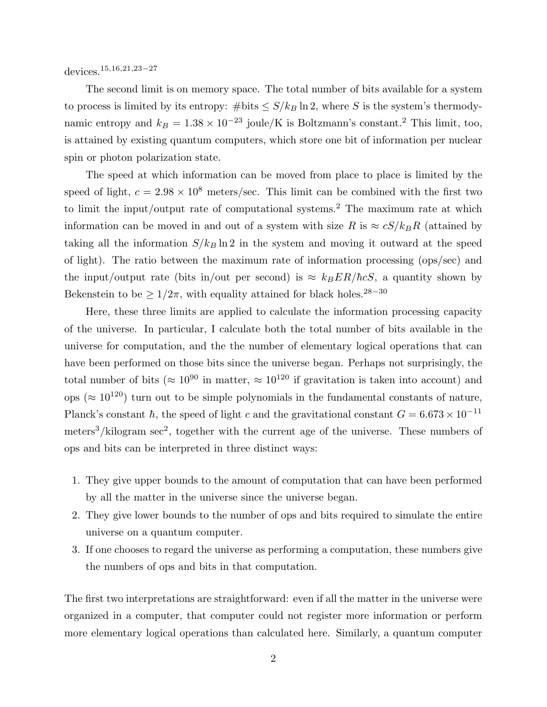devices.15,16,21,23−<sup>27</sup>

The second limit is on memory space. The total number of bits available for a system to process is limited by its entropy: #bits  $\leq S/k_B \ln 2$ , where S is the system's thermodynamic entropy and  $k_B = 1.38 \times 10^{-23}$  joule/K is Boltzmann's constant.<sup>2</sup> This limit, too, is attained by existing quantum computers, which store one bit of information per nuclear spin or photon polarization state.

The speed at which information can be moved from place to place is limited by the speed of light,  $c = 2.98 \times 10^8$  meters/sec. This limit can be combined with the first two to limit the input/output rate of computational systems.<sup>2</sup> The maximum rate at which information can be moved in and out of a system with size R is  $\approx cS/k_B R$  (attained by taking all the information  $S/k_B \ln 2$  in the system and moving it outward at the speed of light). The ratio between the maximum rate of information processing (ops/sec) and the input/output rate (bits in/out per second) is  $\approx k_B E R/\hbar c S$ , a quantity shown by Bekenstein to be  $\geq 1/2\pi$ , with equality attained for black holes.<sup>28−30</sup>

Here, these three limits are applied to calculate the information processing capacity of the universe. In particular, I calculate both the total number of bits available in the universe for computation, and the the number of elementary logical operations that can have been performed on those bits since the universe began. Perhaps not surprisingly, the total number of bits ( $\approx 10^{90}$  in matter,  $\approx 10^{120}$  if gravitation is taken into account) and ops ( $\approx 10^{120}$ ) turn out to be simple polynomials in the fundamental constants of nature, Planck's constant  $\hbar$ , the speed of light c and the gravitational constant  $G = 6.673 \times 10^{-11}$  $meters<sup>3</sup>/kilogram sec<sup>2</sup>, together with the current age of the universe. These numbers of$ ops and bits can be interpreted in three distinct ways:

- 1. They give upper bounds to the amount of computation that can have been performed by all the matter in the universe since the universe began.
- 2. They give lower bounds to the number of ops and bits required to simulate the entire universe on a quantum computer.
- 3. If one chooses to regard the universe as performing a computation, these numbers give the numbers of ops and bits in that computation.

The first two interpretations are straightforward: even if all the matter in the universe were organized in a computer, that computer could not register more information or perform more elementary logical operations than calculated here. Similarly, a quantum computer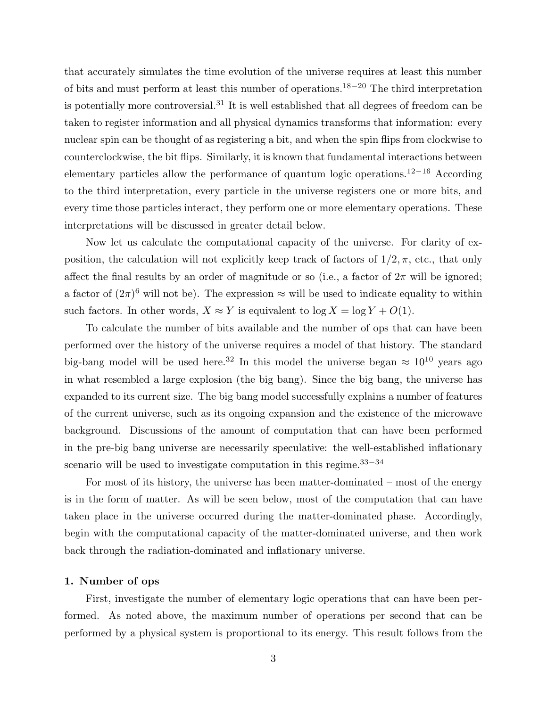that accurately simulates the time evolution of the universe requires at least this number of bits and must perform at least this number of operations.<sup>18</sup>−<sup>20</sup> The third interpretation is potentially more controversial.<sup>31</sup> It is well established that all degrees of freedom can be taken to register information and all physical dynamics transforms that information: every nuclear spin can be thought of as registering a bit, and when the spin flips from clockwise to counterclockwise, the bit flips. Similarly, it is known that fundamental interactions between elementary particles allow the performance of quantum logic operations.<sup>12</sup>−<sup>16</sup> According to the third interpretation, every particle in the universe registers one or more bits, and every time those particles interact, they perform one or more elementary operations. These interpretations will be discussed in greater detail below.

Now let us calculate the computational capacity of the universe. For clarity of exposition, the calculation will not explicitly keep track of factors of  $1/2, \pi$ , etc., that only affect the final results by an order of magnitude or so (i.e., a factor of  $2\pi$  will be ignored; a factor of  $(2\pi)^6$  will not be). The expression  $\approx$  will be used to indicate equality to within such factors. In other words,  $X \approx Y$  is equivalent to  $\log X = \log Y + O(1)$ .

To calculate the number of bits available and the number of ops that can have been performed over the history of the universe requires a model of that history. The standard big-bang model will be used here.<sup>32</sup> In this model the universe began  $\approx 10^{10}$  years ago in what resembled a large explosion (the big bang). Since the big bang, the universe has expanded to its current size. The big bang model successfully explains a number of features of the current universe, such as its ongoing expansion and the existence of the microwave background. Discussions of the amount of computation that can have been performed in the pre-big bang universe are necessarily speculative: the well-established inflationary scenario will be used to investigate computation in this regime.<sup>33–34</sup>

For most of its history, the universe has been matter-dominated – most of the energy is in the form of matter. As will be seen below, most of the computation that can have taken place in the universe occurred during the matter-dominated phase. Accordingly, begin with the computational capacity of the matter-dominated universe, and then work back through the radiation-dominated and inflationary universe.

#### 1. Number of ops

First, investigate the number of elementary logic operations that can have been performed. As noted above, the maximum number of operations per second that can be performed by a physical system is proportional to its energy. This result follows from the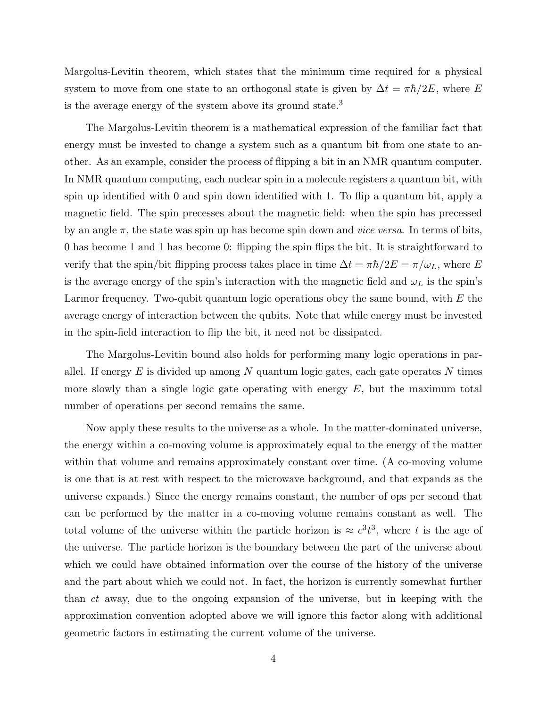Margolus-Levitin theorem, which states that the minimum time required for a physical system to move from one state to an orthogonal state is given by  $\Delta t = \pi \hbar/2E$ , where E is the average energy of the system above its ground state.<sup>3</sup>

The Margolus-Levitin theorem is a mathematical expression of the familiar fact that energy must be invested to change a system such as a quantum bit from one state to another. As an example, consider the process of flipping a bit in an NMR quantum computer. In NMR quantum computing, each nuclear spin in a molecule registers a quantum bit, with spin up identified with 0 and spin down identified with 1. To flip a quantum bit, apply a magnetic field. The spin precesses about the magnetic field: when the spin has precessed by an angle  $\pi$ , the state was spin up has become spin down and *vice versa*. In terms of bits, 0 has become 1 and 1 has become 0: flipping the spin flips the bit. It is straightforward to verify that the spin/bit flipping process takes place in time  $\Delta t = \pi \hbar/2E = \pi/\omega_L$ , where E is the average energy of the spin's interaction with the magnetic field and  $\omega_L$  is the spin's Larmor frequency. Two-qubit quantum logic operations obey the same bound, with  $E$  the average energy of interaction between the qubits. Note that while energy must be invested in the spin-field interaction to flip the bit, it need not be dissipated.

The Margolus-Levitin bound also holds for performing many logic operations in parallel. If energy  $E$  is divided up among N quantum logic gates, each gate operates N times more slowly than a single logic gate operating with energy  $E$ , but the maximum total number of operations per second remains the same.

Now apply these results to the universe as a whole. In the matter-dominated universe, the energy within a co-moving volume is approximately equal to the energy of the matter within that volume and remains approximately constant over time. (A co-moving volume is one that is at rest with respect to the microwave background, and that expands as the universe expands.) Since the energy remains constant, the number of ops per second that can be performed by the matter in a co-moving volume remains constant as well. The total volume of the universe within the particle horizon is  $\approx c^3 t^3$ , where t is the age of the universe. The particle horizon is the boundary between the part of the universe about which we could have obtained information over the course of the history of the universe and the part about which we could not. In fact, the horizon is currently somewhat further than ct away, due to the ongoing expansion of the universe, but in keeping with the approximation convention adopted above we will ignore this factor along with additional geometric factors in estimating the current volume of the universe.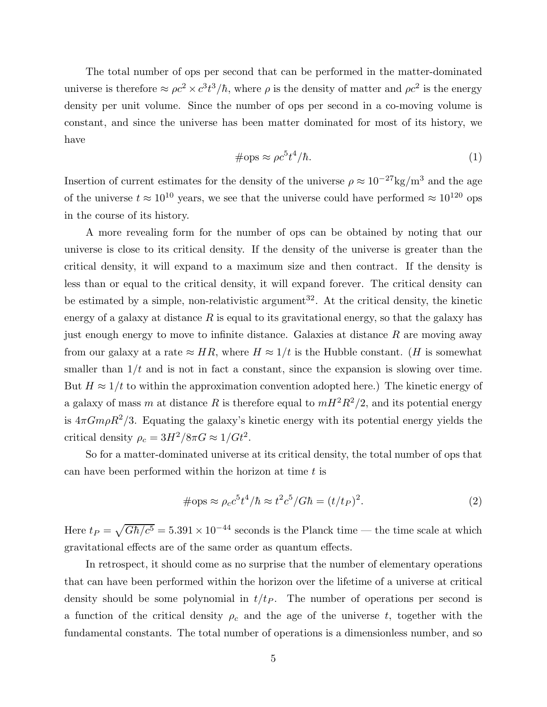The total number of ops per second that can be performed in the matter-dominated universe is therefore  $\approx \rho c^2 \times c^3 t^3 / \hbar$ , where  $\rho$  is the density of matter and  $\rho c^2$  is the energy density per unit volume. Since the number of ops per second in a co-moving volume is constant, and since the universe has been matter dominated for most of its history, we have

$$
\#\text{ops} \approx \rho c^5 t^4 / \hbar. \tag{1}
$$

Insertion of current estimates for the density of the universe  $\rho \approx 10^{-27} \text{kg/m}^3$  and the age of the universe  $t \approx 10^{10}$  years, we see that the universe could have performed  $\approx 10^{120}$  ops in the course of its history.

A more revealing form for the number of ops can be obtained by noting that our universe is close to its critical density. If the density of the universe is greater than the critical density, it will expand to a maximum size and then contract. If the density is less than or equal to the critical density, it will expand forever. The critical density can be estimated by a simple, non-relativistic argument<sup>32</sup>. At the critical density, the kinetic energy of a galaxy at distance  $R$  is equal to its gravitational energy, so that the galaxy has just enough energy to move to infinite distance. Galaxies at distance  $R$  are moving away from our galaxy at a rate  $\approx HR$ , where  $H \approx 1/t$  is the Hubble constant. (H is somewhat smaller than  $1/t$  and is not in fact a constant, since the expansion is slowing over time. But  $H \approx 1/t$  to within the approximation convention adopted here.) The kinetic energy of a galaxy of mass m at distance R is therefore equal to  $mH^2R^2/2$ , and its potential energy is  $4\pi G m \rho R^2/3$ . Equating the galaxy's kinetic energy with its potential energy yields the critical density  $\rho_c = 3H^2/8\pi G \approx 1/Gt^2$ .

So for a matter-dominated universe at its critical density, the total number of ops that can have been performed within the horizon at time  $t$  is

$$
\#\text{ops} \approx \rho_c c^5 t^4 / \hbar \approx t^2 c^5 / G\hbar = (t/t_P)^2. \tag{2}
$$

Here  $t_P = \sqrt{G\hbar/c^5} = 5.391 \times 10^{-44}$  seconds is the Planck time — the time scale at which gravitational effects are of the same order as quantum effects.

In retrospect, it should come as no surprise that the number of elementary operations that can have been performed within the horizon over the lifetime of a universe at critical density should be some polynomial in  $t/t<sub>P</sub>$ . The number of operations per second is a function of the critical density  $\rho_c$  and the age of the universe t, together with the fundamental constants. The total number of operations is a dimensionless number, and so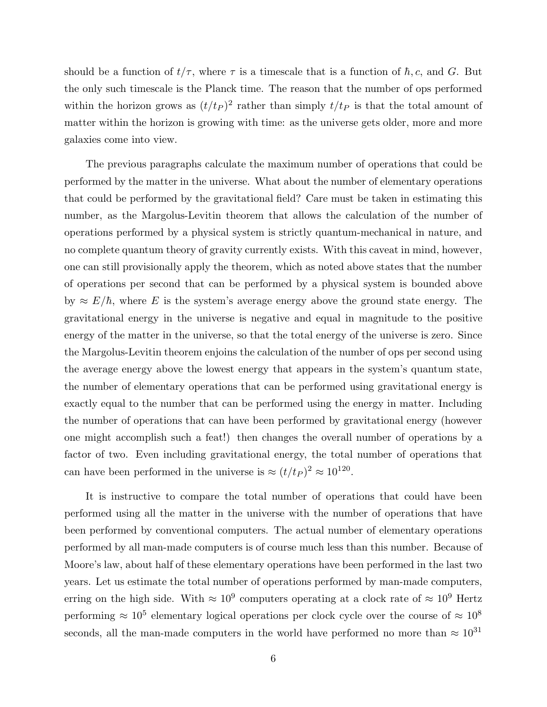should be a function of  $t/\tau$ , where  $\tau$  is a timescale that is a function of  $\hbar$ , c, and G. But the only such timescale is the Planck time. The reason that the number of ops performed within the horizon grows as  $(t/t_P)^2$  rather than simply  $t/t_P$  is that the total amount of matter within the horizon is growing with time: as the universe gets older, more and more galaxies come into view.

The previous paragraphs calculate the maximum number of operations that could be performed by the matter in the universe. What about the number of elementary operations that could be performed by the gravitational field? Care must be taken in estimating this number, as the Margolus-Levitin theorem that allows the calculation of the number of operations performed by a physical system is strictly quantum-mechanical in nature, and no complete quantum theory of gravity currently exists. With this caveat in mind, however, one can still provisionally apply the theorem, which as noted above states that the number of operations per second that can be performed by a physical system is bounded above by  $\approx E/\hbar$ , where E is the system's average energy above the ground state energy. The gravitational energy in the universe is negative and equal in magnitude to the positive energy of the matter in the universe, so that the total energy of the universe is zero. Since the Margolus-Levitin theorem enjoins the calculation of the number of ops per second using the average energy above the lowest energy that appears in the system's quantum state, the number of elementary operations that can be performed using gravitational energy is exactly equal to the number that can be performed using the energy in matter. Including the number of operations that can have been performed by gravitational energy (however one might accomplish such a feat!) then changes the overall number of operations by a factor of two. Even including gravitational energy, the total number of operations that can have been performed in the universe is  $\approx (t/t_P)^2 \approx 10^{120}$ .

It is instructive to compare the total number of operations that could have been performed using all the matter in the universe with the number of operations that have been performed by conventional computers. The actual number of elementary operations performed by all man-made computers is of course much less than this number. Because of Moore's law, about half of these elementary operations have been performed in the last two years. Let us estimate the total number of operations performed by man-made computers, erring on the high side. With  $\approx 10^9$  computers operating at a clock rate of  $\approx 10^9$  Hertz performing  $\approx 10^5$  elementary logical operations per clock cycle over the course of  $\approx 10^8$ seconds, all the man-made computers in the world have performed no more than  $\approx 10^{31}$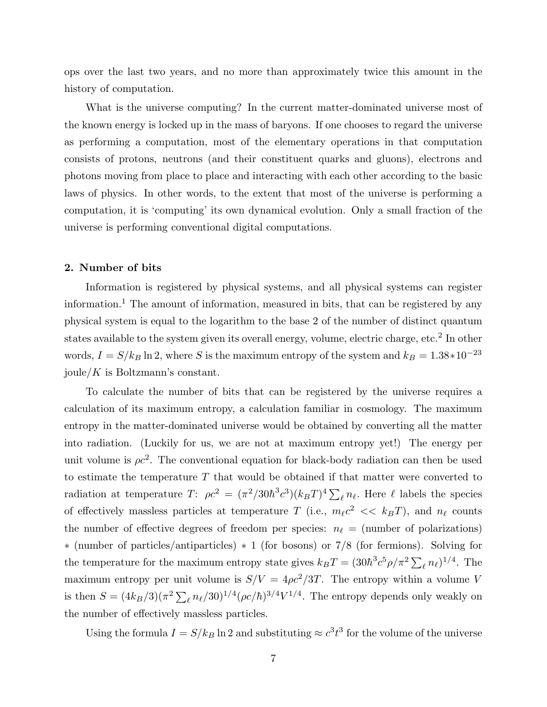ops over the last two years, and no more than approximately twice this amount in the history of computation.

What is the universe computing? In the current matter-dominated universe most of the known energy is locked up in the mass of baryons. If one chooses to regard the universe as performing a computation, most of the elementary operations in that computation consists of protons, neutrons (and their constituent quarks and gluons), electrons and photons moving from place to place and interacting with each other according to the basic laws of physics. In other words, to the extent that most of the universe is performing a computation, it is 'computing' its own dynamical evolution. Only a small fraction of the universe is performing conventional digital computations.

## 2. Number of bits

Information is registered by physical systems, and all physical systems can register information.<sup>1</sup> The amount of information, measured in bits, that can be registered by any physical system is equal to the logarithm to the base 2 of the number of distinct quantum states available to the system given its overall energy, volume, electric charge, etc.<sup>2</sup> In other words,  $I = S/k_B \ln 2$ , where S is the maximum entropy of the system and  $k_B = 1.38 * 10^{-23}$ joule/ $K$  is Boltzmann's constant.

To calculate the number of bits that can be registered by the universe requires a calculation of its maximum entropy, a calculation familiar in cosmology. The maximum entropy in the matter-dominated universe would be obtained by converting all the matter into radiation. (Luckily for us, we are not at maximum entropy yet!) The energy per unit volume is  $\rho c^2$ . The conventional equation for black-body radiation can then be used to estimate the temperature T that would be obtained if that matter were converted to radiation at temperature T:  $\rho c^2 = (\pi^2/30\hbar^3 c^3)(k_B T)^4 \sum_{\ell} n_{\ell}$ . Here  $\ell$  labels the species of effectively massless particles at temperature T (i.e.,  $m_{\ell}c^2 \ll k_B T$ ), and  $n_{\ell}$  counts the number of effective degrees of freedom per species:  $n_{\ell}$  = (number of polarizations) ∗ (number of particles/antiparticles) ∗ 1 (for bosons) or 7/8 (for fermions). Solving for the temperature for the maximum entropy state gives  $k_B T = (30\hbar^3 c^5 \rho/\pi^2 \sum_{\ell} n_{\ell})^{1/4}$ . The maximum entropy per unit volume is  $S/V = 4\rho c^2/3T$ . The entropy within a volume V is then  $S = (4k_B/3)(\pi^2 \sum_{\ell} n_{\ell}/30)^{1/4} (\rho c/\hbar)^{3/4} V^{1/4}$ . The entropy depends only weakly on the number of effectively massless particles.

Using the formula  $I = S/k_B \ln 2$  and substituting  $\approx c^3 t^3$  for the volume of the universe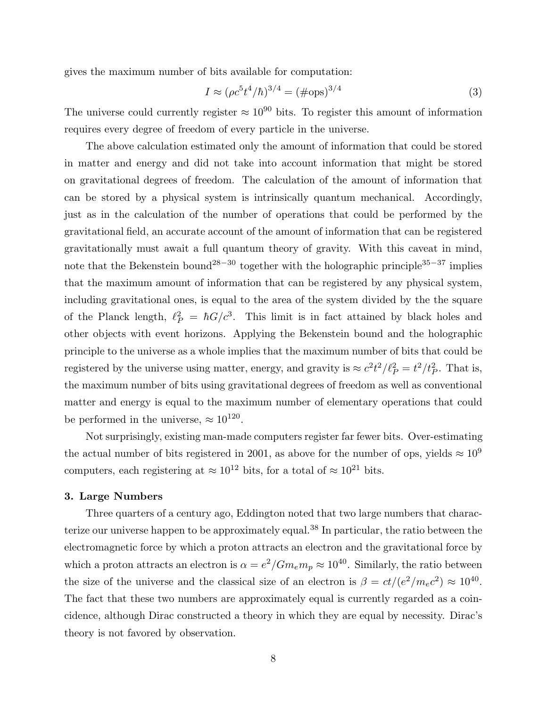gives the maximum number of bits available for computation:

$$
I \approx (\rho c^5 t^4 / \hbar)^{3/4} = (\text{\#ops})^{3/4}
$$
 (3)

The universe could currently register  $\approx 10^{90}$  bits. To register this amount of information requires every degree of freedom of every particle in the universe.

The above calculation estimated only the amount of information that could be stored in matter and energy and did not take into account information that might be stored on gravitational degrees of freedom. The calculation of the amount of information that can be stored by a physical system is intrinsically quantum mechanical. Accordingly, just as in the calculation of the number of operations that could be performed by the gravitational field, an accurate account of the amount of information that can be registered gravitationally must await a full quantum theory of gravity. With this caveat in mind, note that the Bekenstein bound<sup>28−30</sup> together with the holographic principle<sup>35−37</sup> implies that the maximum amount of information that can be registered by any physical system, including gravitational ones, is equal to the area of the system divided by the the square of the Planck length,  $\ell_P^2 = \hbar G/c^3$ . This limit is in fact attained by black holes and other objects with event horizons. Applying the Bekenstein bound and the holographic principle to the universe as a whole implies that the maximum number of bits that could be registered by the universe using matter, energy, and gravity is  $\approx c^2 t^2 / l_P^2 = t^2 / t_P^2$ . That is, the maximum number of bits using gravitational degrees of freedom as well as conventional matter and energy is equal to the maximum number of elementary operations that could be performed in the universe,  $\approx 10^{120}$ .

Not surprisingly, existing man-made computers register far fewer bits. Over-estimating the actual number of bits registered in 2001, as above for the number of ops, yields  $\approx 10^9$ computers, each registering at  $\approx 10^{12}$  bits, for a total of  $\approx 10^{21}$  bits.

## 3. Large Numbers

Three quarters of a century ago, Eddington noted that two large numbers that characterize our universe happen to be approximately equal.<sup>38</sup> In particular, the ratio between the electromagnetic force by which a proton attracts an electron and the gravitational force by which a proton attracts an electron is  $\alpha = e^2/Gm_em_p \approx 10^{40}$ . Similarly, the ratio between the size of the universe and the classical size of an electron is  $\beta = ct/(e^2/m_ec^2) \approx 10^{40}$ . The fact that these two numbers are approximately equal is currently regarded as a coincidence, although Dirac constructed a theory in which they are equal by necessity. Dirac's theory is not favored by observation.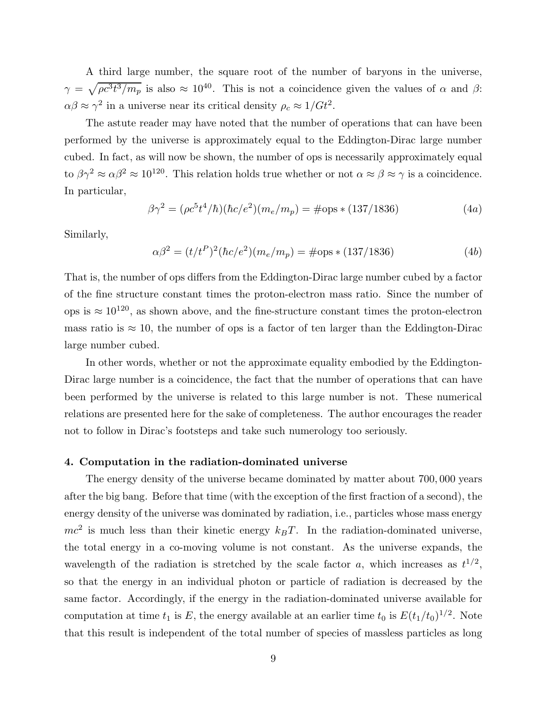A third large number, the square root of the number of baryons in the universe,  $\gamma = \sqrt{\rho c^3 t^3/m_p}$  is also  $\approx 10^{40}$ . This is not a coincidence given the values of  $\alpha$  and  $\beta$ :  $\alpha\beta \approx \gamma^2$  in a universe near its critical density  $\rho_c \approx 1/Gt^2$ .

The astute reader may have noted that the number of operations that can have been performed by the universe is approximately equal to the Eddington-Dirac large number cubed. In fact, as will now be shown, the number of ops is necessarily approximately equal to  $\beta \gamma^2 \approx \alpha \beta^2 \approx 10^{120}$ . This relation holds true whether or not  $\alpha \approx \beta \approx \gamma$  is a coincidence. In particular,

$$
\beta \gamma^2 = (\rho c^5 t^4 / \hbar) (\hbar c / e^2) (m_e / m_p) = \text{\#ops} * (137 / 1836) \tag{4a}
$$

Similarly,

$$
\alpha \beta^2 = (t/t^P)^2 (\hbar c/e^2)(m_e/m_p) = \text{\#ops} * (137/1836) \tag{4b}
$$

That is, the number of ops differs from the Eddington-Dirac large number cubed by a factor of the fine structure constant times the proton-electron mass ratio. Since the number of ops is  $\approx 10^{120}$ , as shown above, and the fine-structure constant times the proton-electron mass ratio is  $\approx 10$ , the number of ops is a factor of ten larger than the Eddington-Dirac large number cubed.

In other words, whether or not the approximate equality embodied by the Eddington-Dirac large number is a coincidence, the fact that the number of operations that can have been performed by the universe is related to this large number is not. These numerical relations are presented here for the sake of completeness. The author encourages the reader not to follow in Dirac's footsteps and take such numerology too seriously.

## 4. Computation in the radiation-dominated universe

The energy density of the universe became dominated by matter about 700, 000 years after the big bang. Before that time (with the exception of the first fraction of a second), the energy density of the universe was dominated by radiation, i.e., particles whose mass energy  $mc^2$  is much less than their kinetic energy  $k_B T$ . In the radiation-dominated universe, the total energy in a co-moving volume is not constant. As the universe expands, the wavelength of the radiation is stretched by the scale factor a, which increases as  $t^{1/2}$ , so that the energy in an individual photon or particle of radiation is decreased by the same factor. Accordingly, if the energy in the radiation-dominated universe available for computation at time  $t_1$  is E, the energy available at an earlier time  $t_0$  is  $E(t_1/t_0)^{1/2}$ . Note that this result is independent of the total number of species of massless particles as long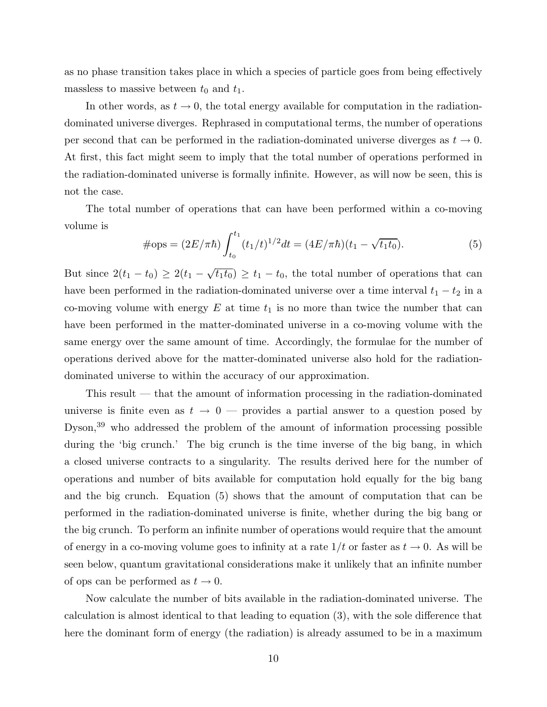as no phase transition takes place in which a species of particle goes from being effectively massless to massive between  $t_0$  and  $t_1$ .

In other words, as  $t \to 0$ , the total energy available for computation in the radiationdominated universe diverges. Rephrased in computational terms, the number of operations per second that can be performed in the radiation-dominated universe diverges as  $t \to 0$ . At first, this fact might seem to imply that the total number of operations performed in the radiation-dominated universe is formally infinite. However, as will now be seen, this is not the case.

The total number of operations that can have been performed within a co-moving volume is

$$
\#\text{ops} = (2E/\pi\hbar) \int_{t_0}^{t_1} (t_1/t)^{1/2} dt = (4E/\pi\hbar)(t_1 - \sqrt{t_1 t_0}).\tag{5}
$$

But since  $2(t_1 - t_0) \ge 2(t_1 - \sqrt{t_1 t_0}) \ge t_1 - t_0$ , the total number of operations that can have been performed in the radiation-dominated universe over a time interval  $t_1 - t_2$  in a co-moving volume with energy  $E$  at time  $t_1$  is no more than twice the number that can have been performed in the matter-dominated universe in a co-moving volume with the same energy over the same amount of time. Accordingly, the formulae for the number of operations derived above for the matter-dominated universe also hold for the radiationdominated universe to within the accuracy of our approximation.

This result — that the amount of information processing in the radiation-dominated universe is finite even as  $t \to 0$  — provides a partial answer to a question posed by Dyson,<sup>39</sup> who addressed the problem of the amount of information processing possible during the 'big crunch.' The big crunch is the time inverse of the big bang, in which a closed universe contracts to a singularity. The results derived here for the number of operations and number of bits available for computation hold equally for the big bang and the big crunch. Equation (5) shows that the amount of computation that can be performed in the radiation-dominated universe is finite, whether during the big bang or the big crunch. To perform an infinite number of operations would require that the amount of energy in a co-moving volume goes to infinity at a rate  $1/t$  or faster as  $t \to 0$ . As will be seen below, quantum gravitational considerations make it unlikely that an infinite number of ops can be performed as  $t \to 0$ .

Now calculate the number of bits available in the radiation-dominated universe. The calculation is almost identical to that leading to equation (3), with the sole difference that here the dominant form of energy (the radiation) is already assumed to be in a maximum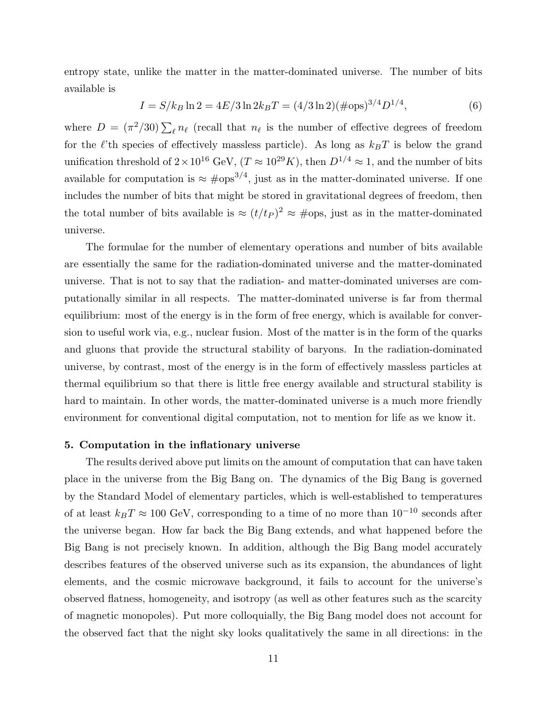entropy state, unlike the matter in the matter-dominated universe. The number of bits available is

$$
I = S/k_B \ln 2 = 4E/3 \ln 2k_B T = (4/3 \ln 2)(\text{\#ops})^{3/4} D^{1/4},\tag{6}
$$

where  $D = (\pi^2/30) \sum_{\ell} n_{\ell}$  (recall that  $n_{\ell}$  is the number of effective degrees of freedom for the  $\ell$ 'th species of effectively massless particle). As long as  $k_BT$  is below the grand unification threshold of  $2 \times 10^{16}$  GeV,  $(T \approx 10^{29} K)$ , then  $D^{1/4} \approx 1$ , and the number of bits available for computation is  $\approx \text{\textsterling}^{3/4}$ , just as in the matter-dominated universe. If one includes the number of bits that might be stored in gravitational degrees of freedom, then the total number of bits available is  $\approx (t/t_P)^2 \approx \text{\#ops}$ , just as in the matter-dominated universe.

The formulae for the number of elementary operations and number of bits available are essentially the same for the radiation-dominated universe and the matter-dominated universe. That is not to say that the radiation- and matter-dominated universes are computationally similar in all respects. The matter-dominated universe is far from thermal equilibrium: most of the energy is in the form of free energy, which is available for conversion to useful work via, e.g., nuclear fusion. Most of the matter is in the form of the quarks and gluons that provide the structural stability of baryons. In the radiation-dominated universe, by contrast, most of the energy is in the form of effectively massless particles at thermal equilibrium so that there is little free energy available and structural stability is hard to maintain. In other words, the matter-dominated universe is a much more friendly environment for conventional digital computation, not to mention for life as we know it.

#### 5. Computation in the inflationary universe

The results derived above put limits on the amount of computation that can have taken place in the universe from the Big Bang on. The dynamics of the Big Bang is governed by the Standard Model of elementary particles, which is well-established to temperatures of at least  $k_BT \approx 100$  GeV, corresponding to a time of no more than  $10^{-10}$  seconds after the universe began. How far back the Big Bang extends, and what happened before the Big Bang is not precisely known. In addition, although the Big Bang model accurately describes features of the observed universe such as its expansion, the abundances of light elements, and the cosmic microwave background, it fails to account for the universe's observed flatness, homogeneity, and isotropy (as well as other features such as the scarcity of magnetic monopoles). Put more colloquially, the Big Bang model does not account for the observed fact that the night sky looks qualitatively the same in all directions: in the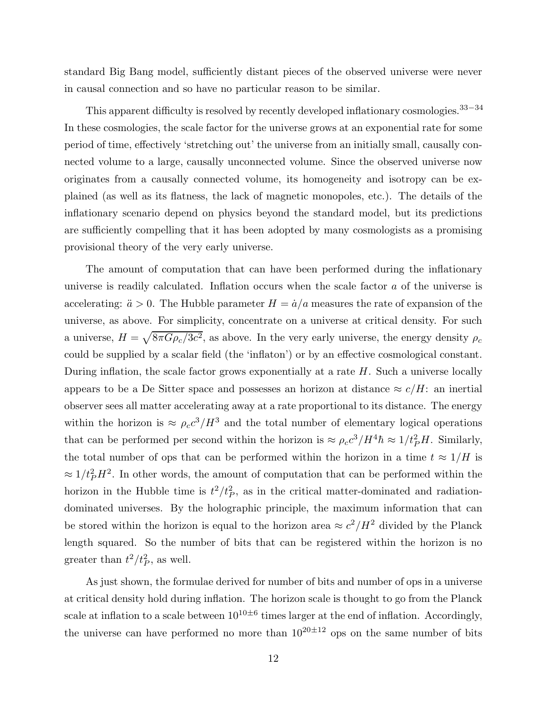standard Big Bang model, sufficiently distant pieces of the observed universe were never in causal connection and so have no particular reason to be similar.

This apparent difficulty is resolved by recently developed inflationary cosmologies.<sup>33–34</sup> In these cosmologies, the scale factor for the universe grows at an exponential rate for some period of time, effectively 'stretching out' the universe from an initially small, causally connected volume to a large, causally unconnected volume. Since the observed universe now originates from a causally connected volume, its homogeneity and isotropy can be explained (as well as its flatness, the lack of magnetic monopoles, etc.). The details of the inflationary scenario depend on physics beyond the standard model, but its predictions are sufficiently compelling that it has been adopted by many cosmologists as a promising provisional theory of the very early universe.

The amount of computation that can have been performed during the inflationary universe is readily calculated. Inflation occurs when the scale factor a of the universe is accelerating:  $\ddot{a} > 0$ . The Hubble parameter  $H = \dot{a}/a$  measures the rate of expansion of the universe, as above. For simplicity, concentrate on a universe at critical density. For such a universe,  $H = \sqrt{8\pi G \rho_c/3c^2}$ , as above. In the very early universe, the energy density  $\rho_c$ could be supplied by a scalar field (the 'inflaton') or by an effective cosmological constant. During inflation, the scale factor grows exponentially at a rate  $H$ . Such a universe locally appears to be a De Sitter space and possesses an horizon at distance  $\approx c/H$ : an inertial observer sees all matter accelerating away at a rate proportional to its distance. The energy within the horizon is  $\approx \rho_c c^3/H^3$  and the total number of elementary logical operations that can be performed per second within the horizon is  $\approx \rho_c c^3 / H^4 \hbar \approx 1 / t_P^2 H$ . Similarly, the total number of ops that can be performed within the horizon in a time  $t \approx 1/H$  is  $\approx 1/t_P^2 H^2$ . In other words, the amount of computation that can be performed within the horizon in the Hubble time is  $t^2/t_p^2$ , as in the critical matter-dominated and radiationdominated universes. By the holographic principle, the maximum information that can be stored within the horizon is equal to the horizon area  $\approx c^2/H^2$  divided by the Planck length squared. So the number of bits that can be registered within the horizon is no greater than  $t^2/t_P^2$ , as well.

As just shown, the formulae derived for number of bits and number of ops in a universe at critical density hold during inflation. The horizon scale is thought to go from the Planck scale at inflation to a scale between  $10^{10\pm6}$  times larger at the end of inflation. Accordingly, the universe can have performed no more than  $10^{20\pm12}$  ops on the same number of bits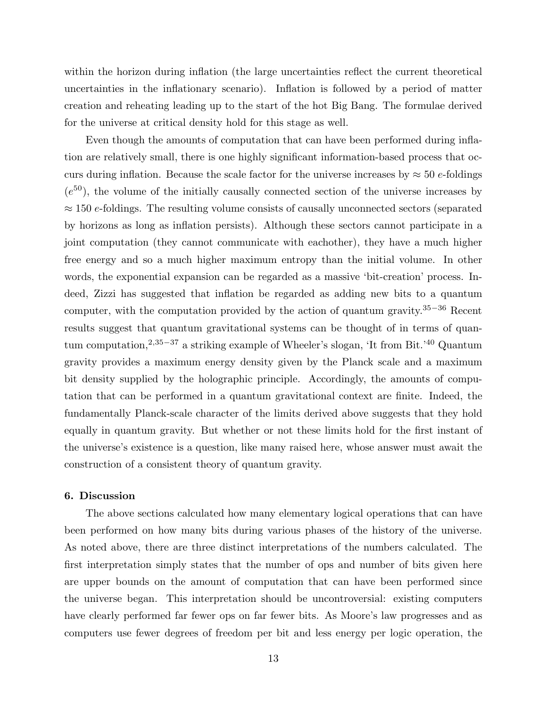within the horizon during inflation (the large uncertainties reflect the current theoretical uncertainties in the inflationary scenario). Inflation is followed by a period of matter creation and reheating leading up to the start of the hot Big Bang. The formulae derived for the universe at critical density hold for this stage as well.

Even though the amounts of computation that can have been performed during inflation are relatively small, there is one highly significant information-based process that occurs during inflation. Because the scale factor for the universe increases by  $\approx 50$  e-foldings  $(e^{50})$ , the volume of the initially causally connected section of the universe increases by  $\approx$  150 e-foldings. The resulting volume consists of causally unconnected sectors (separated by horizons as long as inflation persists). Although these sectors cannot participate in a joint computation (they cannot communicate with eachother), they have a much higher free energy and so a much higher maximum entropy than the initial volume. In other words, the exponential expansion can be regarded as a massive 'bit-creation' process. Indeed, Zizzi has suggested that inflation be regarded as adding new bits to a quantum computer, with the computation provided by the action of quantum gravity.<sup>35</sup>−<sup>36</sup> Recent results suggest that quantum gravitational systems can be thought of in terms of quantum computation,<sup>2,35−37</sup> a striking example of Wheeler's slogan, 'It from Bit.'<sup>40</sup> Quantum gravity provides a maximum energy density given by the Planck scale and a maximum bit density supplied by the holographic principle. Accordingly, the amounts of computation that can be performed in a quantum gravitational context are finite. Indeed, the fundamentally Planck-scale character of the limits derived above suggests that they hold equally in quantum gravity. But whether or not these limits hold for the first instant of the universe's existence is a question, like many raised here, whose answer must await the construction of a consistent theory of quantum gravity.

## 6. Discussion

The above sections calculated how many elementary logical operations that can have been performed on how many bits during various phases of the history of the universe. As noted above, there are three distinct interpretations of the numbers calculated. The first interpretation simply states that the number of ops and number of bits given here are upper bounds on the amount of computation that can have been performed since the universe began. This interpretation should be uncontroversial: existing computers have clearly performed far fewer ops on far fewer bits. As Moore's law progresses and as computers use fewer degrees of freedom per bit and less energy per logic operation, the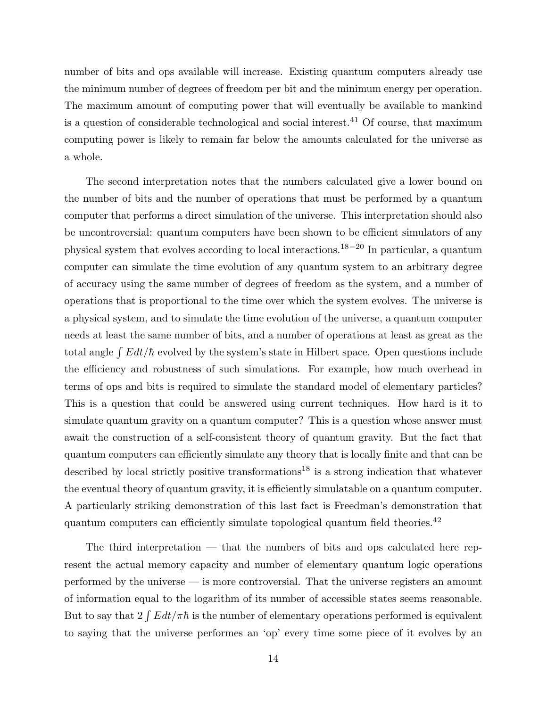number of bits and ops available will increase. Existing quantum computers already use the minimum number of degrees of freedom per bit and the minimum energy per operation. The maximum amount of computing power that will eventually be available to mankind is a question of considerable technological and social interest.<sup>41</sup> Of course, that maximum computing power is likely to remain far below the amounts calculated for the universe as a whole.

The second interpretation notes that the numbers calculated give a lower bound on the number of bits and the number of operations that must be performed by a quantum computer that performs a direct simulation of the universe. This interpretation should also be uncontroversial: quantum computers have been shown to be efficient simulators of any physical system that evolves according to local interactions.18−<sup>20</sup> In particular, a quantum computer can simulate the time evolution of any quantum system to an arbitrary degree of accuracy using the same number of degrees of freedom as the system, and a number of operations that is proportional to the time over which the system evolves. The universe is a physical system, and to simulate the time evolution of the universe, a quantum computer needs at least the same number of bits, and a number of operations at least as great as the total angle  $\int E dt/\hbar$  evolved by the system's state in Hilbert space. Open questions include the efficiency and robustness of such simulations. For example, how much overhead in terms of ops and bits is required to simulate the standard model of elementary particles? This is a question that could be answered using current techniques. How hard is it to simulate quantum gravity on a quantum computer? This is a question whose answer must await the construction of a self-consistent theory of quantum gravity. But the fact that quantum computers can efficiently simulate any theory that is locally finite and that can be described by local strictly positive transformations<sup>18</sup> is a strong indication that whatever the eventual theory of quantum gravity, it is efficiently simulatable on a quantum computer. A particularly striking demonstration of this last fact is Freedman's demonstration that quantum computers can efficiently simulate topological quantum field theories. $^{42}$ 

The third interpretation — that the numbers of bits and ops calculated here represent the actual memory capacity and number of elementary quantum logic operations performed by the universe — is more controversial. That the universe registers an amount of information equal to the logarithm of its number of accessible states seems reasonable. But to say that  $2 \int E dt / \pi \hbar$  is the number of elementary operations performed is equivalent to saying that the universe performes an 'op' every time some piece of it evolves by an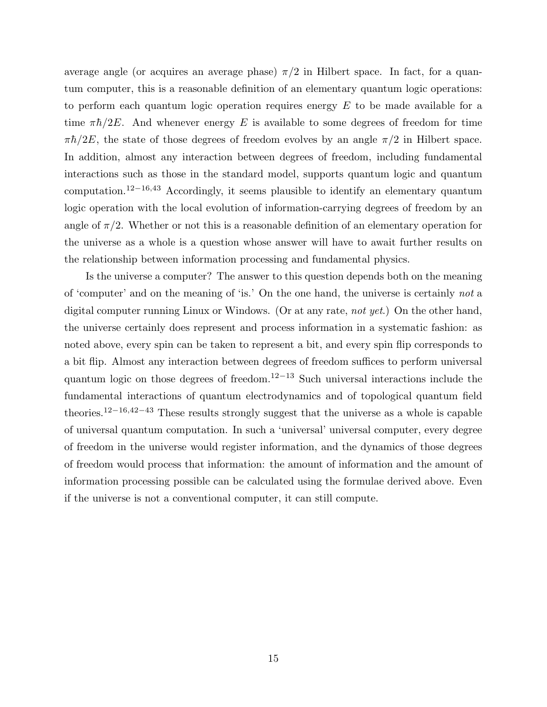average angle (or acquires an average phase)  $\pi/2$  in Hilbert space. In fact, for a quantum computer, this is a reasonable definition of an elementary quantum logic operations: to perform each quantum logic operation requires energy  $E$  to be made available for a time  $\pi\hbar/2E$ . And whenever energy E is available to some degrees of freedom for time  $\pi\hbar/2E$ , the state of those degrees of freedom evolves by an angle  $\pi/2$  in Hilbert space. In addition, almost any interaction between degrees of freedom, including fundamental interactions such as those in the standard model, supports quantum logic and quantum computation.<sup>12</sup>−16,<sup>43</sup> Accordingly, it seems plausible to identify an elementary quantum logic operation with the local evolution of information-carrying degrees of freedom by an angle of  $\pi/2$ . Whether or not this is a reasonable definition of an elementary operation for the universe as a whole is a question whose answer will have to await further results on the relationship between information processing and fundamental physics.

Is the universe a computer? The answer to this question depends both on the meaning of 'computer' and on the meaning of 'is.' On the one hand, the universe is certainly *not* a digital computer running Linux or Windows. (Or at any rate, *not yet*.) On the other hand, the universe certainly does represent and process information in a systematic fashion: as noted above, every spin can be taken to represent a bit, and every spin flip corresponds to a bit flip. Almost any interaction between degrees of freedom suffices to perform universal quantum logic on those degrees of freedom.<sup>12−13</sup> Such universal interactions include the fundamental interactions of quantum electrodynamics and of topological quantum field theories.<sup>12</sup>−16,42−<sup>43</sup> These results strongly suggest that the universe as a whole is capable of universal quantum computation. In such a 'universal' universal computer, every degree of freedom in the universe would register information, and the dynamics of those degrees of freedom would process that information: the amount of information and the amount of information processing possible can be calculated using the formulae derived above. Even if the universe is not a conventional computer, it can still compute.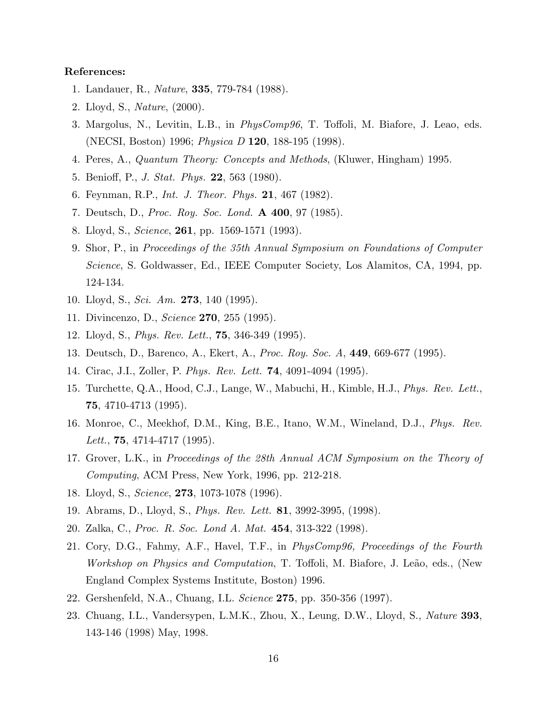# References:

- 1. Landauer, R., *Nature*, 335, 779-784 (1988).
- 2. Lloyd, S., *Nature*, (2000).
- 3. Margolus, N., Levitin, L.B., in *PhysComp96*, T. Toffoli, M. Biafore, J. Leao, eds. (NECSI, Boston) 1996; *Physica D* 120, 188-195 (1998).
- 4. Peres, A., *Quantum Theory: Concepts and Methods*, (Kluwer, Hingham) 1995.
- 5. Benioff, P., *J. Stat. Phys.* 22, 563 (1980).
- 6. Feynman, R.P., *Int. J. Theor. Phys.* 21, 467 (1982).
- 7. Deutsch, D., *Proc. Roy. Soc. Lond.* A 400, 97 (1985).
- 8. Lloyd, S., *Science*, 261, pp. 1569-1571 (1993).
- 9. Shor, P., in *Proceedings of the 35th Annual Symposium on Foundations of Computer Science*, S. Goldwasser, Ed., IEEE Computer Society, Los Alamitos, CA, 1994, pp. 124-134.
- 10. Lloyd, S., *Sci. Am.* 273, 140 (1995).
- 11. Divincenzo, D., *Science* 270, 255 (1995).
- 12. Lloyd, S., *Phys. Rev. Lett.*, 75, 346-349 (1995).
- 13. Deutsch, D., Barenco, A., Ekert, A., *Proc. Roy. Soc. A*, 449, 669-677 (1995).
- 14. Cirac, J.I., Zoller, P. *Phys. Rev. Lett.* 74, 4091-4094 (1995).
- 15. Turchette, Q.A., Hood, C.J., Lange, W., Mabuchi, H., Kimble, H.J., *Phys. Rev. Lett.*, 75, 4710-4713 (1995).
- 16. Monroe, C., Meekhof, D.M., King, B.E., Itano, W.M., Wineland, D.J., *Phys. Rev. Lett.*, 75, 4714-4717 (1995).
- 17. Grover, L.K., in *Proceedings of the 28th Annual ACM Symposium on the Theory of Computing*, ACM Press, New York, 1996, pp. 212-218.
- 18. Lloyd, S., *Science*, 273, 1073-1078 (1996).
- 19. Abrams, D., Lloyd, S., *Phys. Rev. Lett.* 81, 3992-3995, (1998).
- 20. Zalka, C., *Proc. R. Soc. Lond A. Mat.* 454, 313-322 (1998).
- 21. Cory, D.G., Fahmy, A.F., Havel, T.F., in *PhysComp96, Proceedings of the Fourth Workshop on Physics and Computation*, T. Toffoli, M. Biafore, J. Leão, eds., (New England Complex Systems Institute, Boston) 1996.
- 22. Gershenfeld, N.A., Chuang, I.L. *Science* 275, pp. 350-356 (1997).
- 23. Chuang, I.L., Vandersypen, L.M.K., Zhou, X., Leung, D.W., Lloyd, S., *Nature* 393, 143-146 (1998) May, 1998.